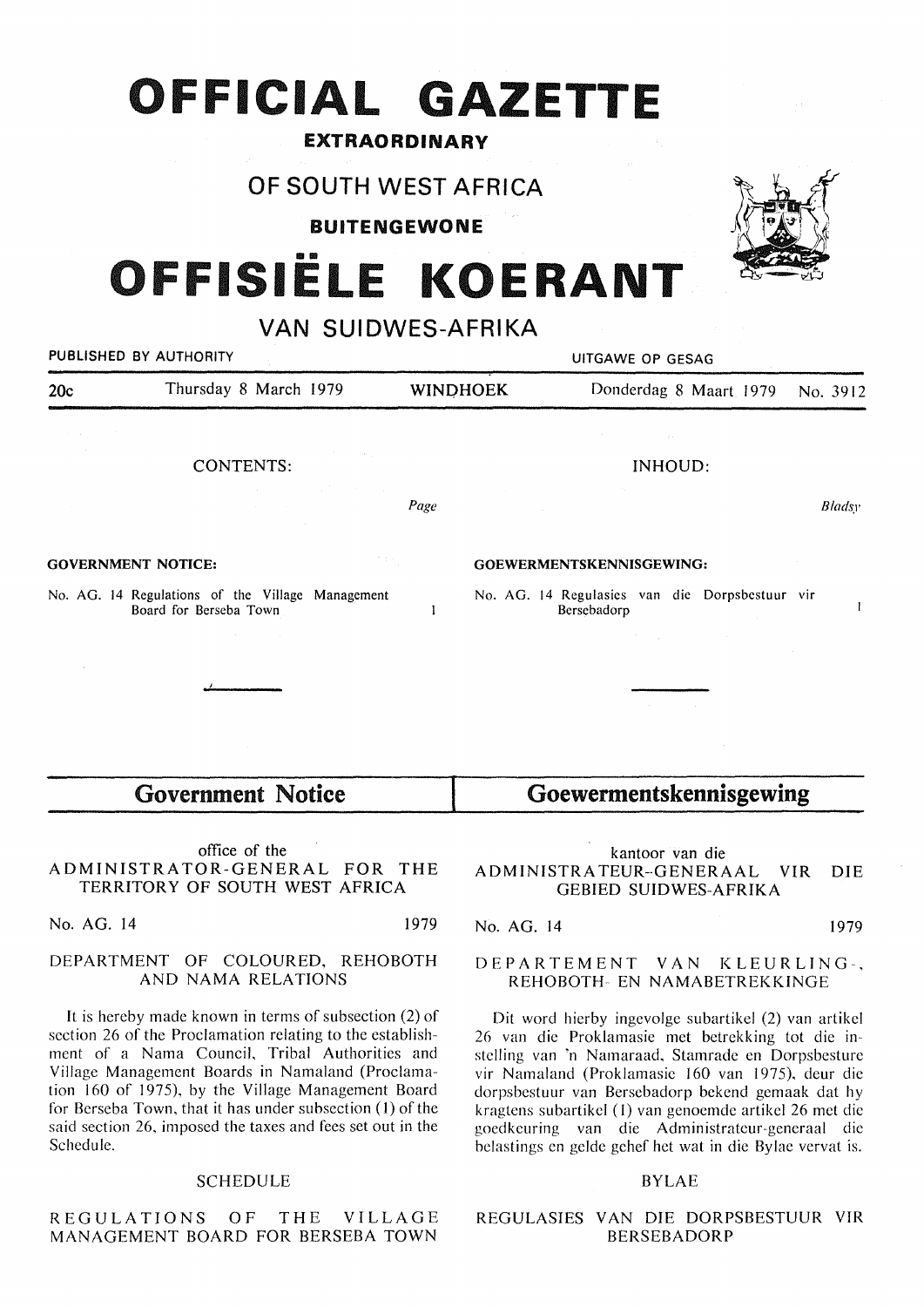## **OFFICIAL GAZETTE**

#### EXTRAORDINARY

### OF SOUTH WEST AFRICA

BUITENGEWONE

# ISIËLE KOERANT

VAN SUIDWES-AFRIKA

|     | PUBLISHED BY AUTHORITY                                                                                                                                                                                                                                 |                 | UITGAWE OP GESAG |                                                                                                    |          |  |  |  |  |  |  |  |  |  |
|-----|--------------------------------------------------------------------------------------------------------------------------------------------------------------------------------------------------------------------------------------------------------|-----------------|------------------|----------------------------------------------------------------------------------------------------|----------|--|--|--|--|--|--|--|--|--|
| 20c | Thursday 8 March 1979                                                                                                                                                                                                                                  |                 | <b>WINDHOEK</b>  | Donderdag 8 Maart 1979                                                                             | No. 3912 |  |  |  |  |  |  |  |  |  |
|     | CONTENTS:<br>$\mathcal{L}^{\mathcal{L}}$ , and the set of the set of the set of the set of the set of the set of the set of the set of the set of the set of the set of the set of the set of the set of the set of the set of the set of the set of t | and the company |                  | INHOUD:<br><b>Contractor</b>                                                                       |          |  |  |  |  |  |  |  |  |  |
|     | the control of the control of                                                                                                                                                                                                                          |                 | Page             |                                                                                                    | Bladsy   |  |  |  |  |  |  |  |  |  |
|     | <b>GOVERNMENT NOTICE:</b>                                                                                                                                                                                                                              | ta nj           |                  | GOEWERMENTSKENNISGEWING:                                                                           |          |  |  |  |  |  |  |  |  |  |
|     | No. AG. 14 Regulations of the Village Management<br>Board for Berseba Town                                                                                                                                                                             |                 |                  | No. AG. 14 Regulasies van die Dorpsbestuur vir<br>Bersebadorp<br>the company of the company of the | I.       |  |  |  |  |  |  |  |  |  |
|     | <b>Government Notice</b>                                                                                                                                                                                                                               |                 |                  | Goewermentskennisgewing                                                                            |          |  |  |  |  |  |  |  |  |  |

office of the ADMINISTRATOR-GENERAL FOR THE TERRITORY OF SOUTH WEST AFRICA

No. AG. 14 1979

#### **DEPARTMENT** OF **COLOURED, REHOBOTH AND NAMA RELATIONS**

It is hereby made known in terms of subsection (2) of section 26 of the Proclamation relating to the establishment of a Nama Council, Tribal Authorities and Village Management Boards in Namaland (Proclamation 160 of 1975), by the Village Management Board for Berseba Town, that it has under subsection (1) of the said section 26, imposed the taxes and fees set out in the Schedule.

#### **SCHEDULE**

REGULATIONS .OF THE VILLAGE **MANAGEMENT BOARD FOR BERSEBA TOWN** 

kantoor van die ADMINISTRA TEUR-·GENERAAL VIR DIE GEBIED SUIDWES-AFRIKA

#### No. AG. 14 1979

#### DEPARTEMENT VAN KLEURLING-, REHOBOTH- EN NAMABETREKKINGE

Dit word hierby ingevolge subartikel (2) van artikel 26 van die Proklamasie met betrekking tot die instelling van 'n Namaraad, Stamrade en Dorpsbesture vir Namaland (Proklamasie 160 van 1975), deur die dorpsbestuur van Bersebadorp bekend gemaak dat hy kragtens subartikel (1) van genoemde artikel 26 met die goedkeuring van. die Administrateur-generaal die belastings en gelde gehef het wat in die Bylae vervat is.

#### BYLAE

#### REGULASIES VAN DIE DORPSBESTUUR VIR BERSEBADORP